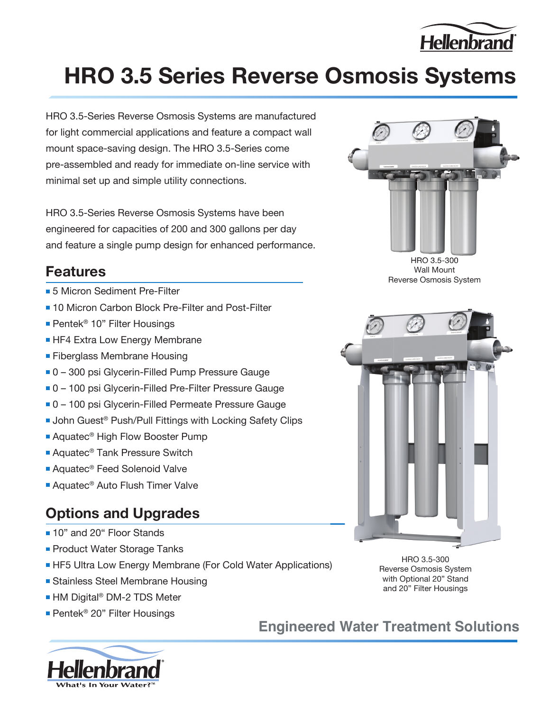

## **HRO 3.5 Series Reverse Osmosis Systems**

HRO 3.5-Series Reverse Osmosis Systems are manufactured for light commercial applications and feature a compact wall mount space-saving design. The HRO 3.5-Series come pre-assembled and ready for immediate on-line service with minimal set up and simple utility connections.

HRO 3.5-Series Reverse Osmosis Systems have been engineered for capacities of 200 and 300 gallons per day and feature a single pump design for enhanced performance.

#### **Features**

- **5 Micron Sediment Pre-Filter**
- 10 Micron Carbon Block Pre-Filter and Post-Filter
- Pentek<sup>®</sup> 10" Filter Housings
- **HF4 Extra Low Energy Membrane**
- **Fiberglass Membrane Housing**
- 0 300 psi Glycerin-Filled Pump Pressure Gauge
- 0 100 psi Glycerin-Filled Pre-Filter Pressure Gauge
- 0 100 psi Glycerin-Filled Permeate Pressure Gauge
- John Guest<sup>®</sup> Push/Pull Fittings with Locking Safety Clips
- Aquatec<sup>®</sup> High Flow Booster Pump
- Aquatec<sup>®</sup> Tank Pressure Switch
- Aquatec<sup>®</sup> Feed Solenoid Valve
- Aquatec<sup>®</sup> Auto Flush Timer Valve

#### **Options and Upgrades**

- 10" and 20" Floor Stands
- **Product Water Storage Tanks**
- HF5 Ultra Low Energy Membrane (For Cold Water Applications)
- **Stainless Steel Membrane Housing**
- HM Digital® DM-2 TDS Meter
- Pentek<sup>®</sup> 20" Filter Housings





HRO 3.5-300 Wall Mount Reverse Osmosis System



HRO 3.5-300 Reverse Osmosis System with Optional 20" Stand and 20" Filter Housings

**Engineered Water Treatment Solutions**